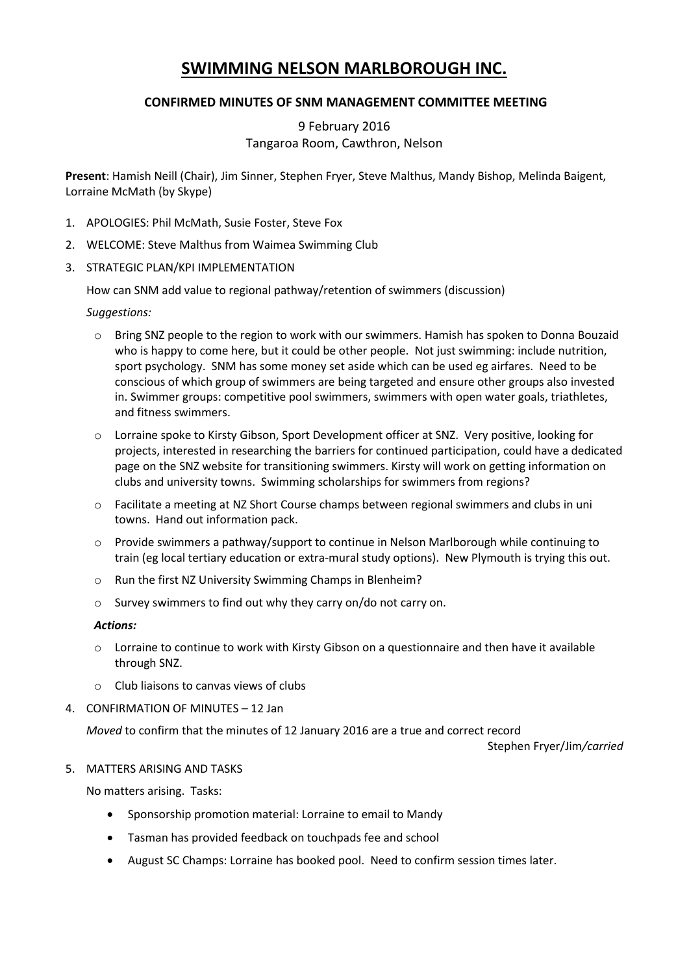# **SWIMMING NELSON MARLBOROUGH INC.**

# **CONFIRMED MINUTES OF SNM MANAGEMENT COMMITTEE MEETING**

# 9 February 2016 Tangaroa Room, Cawthron, Nelson

**Present**: Hamish Neill (Chair), Jim Sinner, Stephen Fryer, Steve Malthus, Mandy Bishop, Melinda Baigent, Lorraine McMath (by Skype)

- 1. APOLOGIES: Phil McMath, Susie Foster, Steve Fox
- 2. WELCOME: Steve Malthus from Waimea Swimming Club
- 3. STRATEGIC PLAN/KPI IMPLEMENTATION

How can SNM add value to regional pathway/retention of swimmers (discussion)

## *Suggestions:*

- o Bring SNZ people to the region to work with our swimmers. Hamish has spoken to Donna Bouzaid who is happy to come here, but it could be other people. Not just swimming: include nutrition, sport psychology. SNM has some money set aside which can be used eg airfares. Need to be conscious of which group of swimmers are being targeted and ensure other groups also invested in. Swimmer groups: competitive pool swimmers, swimmers with open water goals, triathletes, and fitness swimmers.
- o Lorraine spoke to Kirsty Gibson, Sport Development officer at SNZ. Very positive, looking for projects, interested in researching the barriers for continued participation, could have a dedicated page on the SNZ website for transitioning swimmers. Kirsty will work on getting information on clubs and university towns. Swimming scholarships for swimmers from regions?
- o Facilitate a meeting at NZ Short Course champs between regional swimmers and clubs in uni towns. Hand out information pack.
- $\circ$  Provide swimmers a pathway/support to continue in Nelson Marlborough while continuing to train (eg local tertiary education or extra-mural study options). New Plymouth is trying this out.
- o Run the first NZ University Swimming Champs in Blenheim?
- o Survey swimmers to find out why they carry on/do not carry on.

#### *Actions:*

- $\circ$  Lorraine to continue to work with Kirsty Gibson on a questionnaire and then have it available through SNZ.
- o Club liaisons to canvas views of clubs
- 4. CONFIRMATION OF MINUTES 12 Jan

*Moved* to confirm that the minutes of 12 January 2016 are a true and correct record

Stephen Fryer/Jim*/carried*

#### 5. MATTERS ARISING AND TASKS

No matters arising. Tasks:

- Sponsorship promotion material: Lorraine to email to Mandy
- Tasman has provided feedback on touchpads fee and school
- August SC Champs: Lorraine has booked pool. Need to confirm session times later.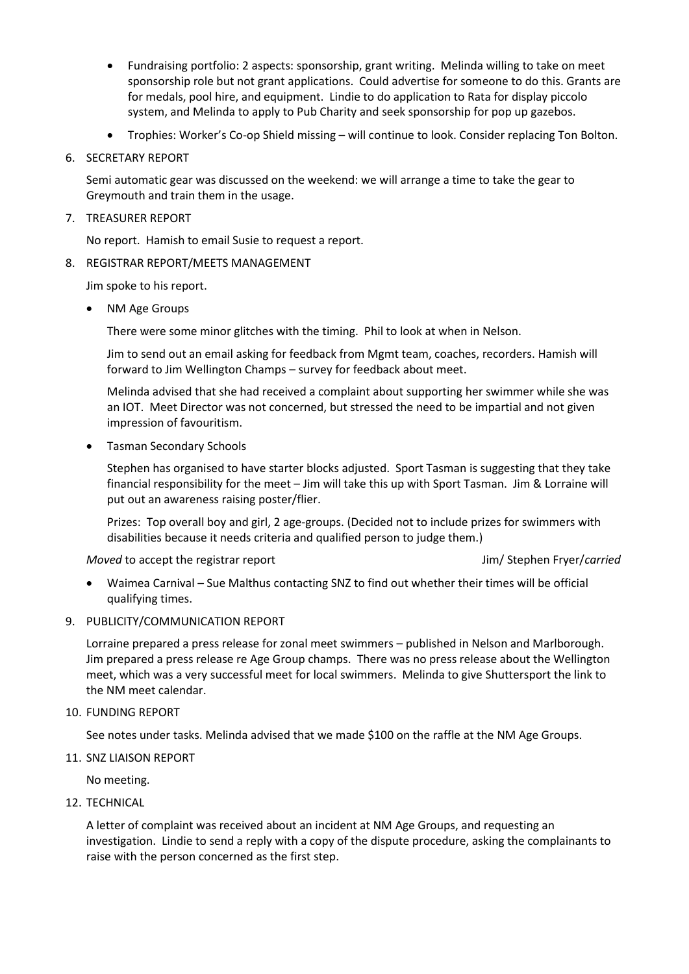- Fundraising portfolio: 2 aspects: sponsorship, grant writing. Melinda willing to take on meet sponsorship role but not grant applications. Could advertise for someone to do this. Grants are for medals, pool hire, and equipment. Lindie to do application to Rata for display piccolo system, and Melinda to apply to Pub Charity and seek sponsorship for pop up gazebos.
- Trophies: Worker's Co-op Shield missing will continue to look. Consider replacing Ton Bolton.
- 6. SECRETARY REPORT

Semi automatic gear was discussed on the weekend: we will arrange a time to take the gear to Greymouth and train them in the usage.

### 7. TREASURER REPORT

No report. Hamish to email Susie to request a report.

8. REGISTRAR REPORT/MEETS MANAGEMENT

Jim spoke to his report.

NM Age Groups

There were some minor glitches with the timing. Phil to look at when in Nelson.

Jim to send out an email asking for feedback from Mgmt team, coaches, recorders. Hamish will forward to Jim Wellington Champs – survey for feedback about meet.

Melinda advised that she had received a complaint about supporting her swimmer while she was an IOT. Meet Director was not concerned, but stressed the need to be impartial and not given impression of favouritism.

• Tasman Secondary Schools

Stephen has organised to have starter blocks adjusted. Sport Tasman is suggesting that they take financial responsibility for the meet – Jim will take this up with Sport Tasman. Jim & Lorraine will put out an awareness raising poster/flier.

Prizes: Top overall boy and girl, 2 age-groups. (Decided not to include prizes for swimmers with disabilities because it needs criteria and qualified person to judge them.)

*Moved* to accept the registrar report Jim/ Stephen Fryer/*carried*

- Waimea Carnival Sue Malthus contacting SNZ to find out whether their times will be official qualifying times.
- 9. PUBLICITY/COMMUNICATION REPORT

Lorraine prepared a press release for zonal meet swimmers – published in Nelson and Marlborough. Jim prepared a press release re Age Group champs. There was no press release about the Wellington meet, which was a very successful meet for local swimmers. Melinda to give Shuttersport the link to the NM meet calendar.

10. FUNDING REPORT

See notes under tasks. Melinda advised that we made \$100 on the raffle at the NM Age Groups.

11. SNZ LIAISON REPORT

No meeting.

12. TECHNICAL

A letter of complaint was received about an incident at NM Age Groups, and requesting an investigation. Lindie to send a reply with a copy of the dispute procedure, asking the complainants to raise with the person concerned as the first step.